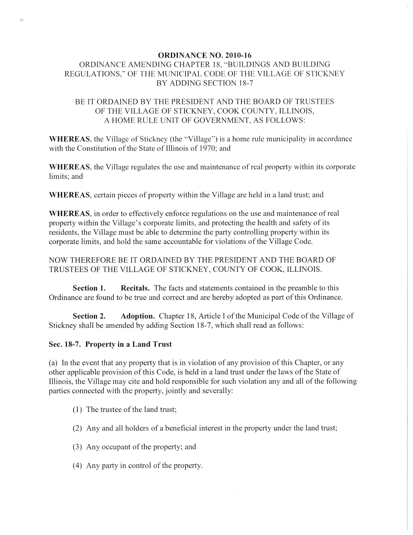### ORDINANCE NO. 2010-16

# ORDINANCE AMENDING CHAPTER 18, "BUILDINGS AND BUILDING REGULATIONS," OF THE MUNICIPAL CODE OF THE VILLAGE OF STICKNEY BY ADDING SECTION 18-7

## BE IT ORDAINED BY THE PRESIDENT AND THE BOARD OF TRUSTEES OF THE VILLAGE OF STICKNEY, COOK COUNTY, ILLINOIS, A HOME RULE UNIT OF GOVERNMENT, AS FOLLOWS:

WHEREAS, the Village of Stickney (the "Village") is a home rule municipality in accordance with the Constitution of the State of Illinois of 1970; and

WHEREAS, the Village regulates the use and maintenance of real property within its corporate limits; and

WHEREAS, certain pieces of property within the Village are held in a land trust; and

WHEREAS, in order to effectively enforce regulations on the use and maintenance of real property within the Village's corporate limits, and protecting the health and safety of its residents, the Village must be able to determine the party controlling property within its corporate limits, and hold the same accountable for violations of the Village Code.

## NOW THEREFORE BE IT ORDAINED BY THE PRESIDENT AND THE BOARD OF TRUSTEES OF THE VILLAGE OF STICKNEY, COUNTY OF COOK, ILLINOIS.

Section 1. Recitals. The facts and statements contained in the preamble to this Ordinance are found to be true and correct and are hereby adopted as part of this Ordinance.

Section 2. Adoption. Chapter 18, Article I of the Municipal Code of the Village of Stickney shall be amended by adding Section 18-7, which shall read as follows:

### Sec. 18-7. Property in a Land Trust

(a) In the event that any property that is in violation of any provision of this Chapter, or any other applicable provision of this Code, is held in a land trust under the laws of the State of Illinois, the Village may cite and hold responsible for such violation any and all of the following parties connected with the property, jointly and severally:

- (1) The trustee of the land trust;
- (2) Any and all holders of a beneficial interest in the property under the land trust;
- $(3)$  Any occupant of the property; and
- (4) Any party in control of the property.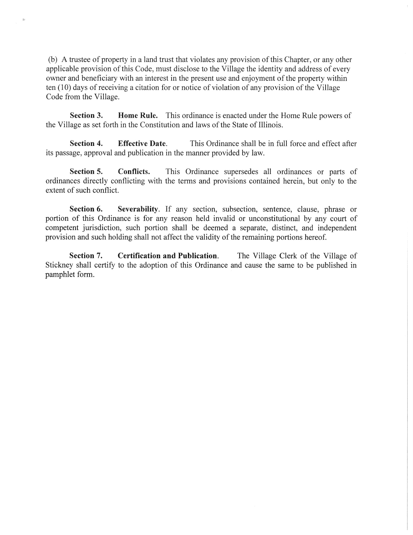(b) A trustee of property in a land trust that violates any provision of this Chapter, or any other applicable provision of this Code, must disclose to the Village the identity and address of every owner and beneficiary with an interest in the present use and enjoyment of the property within ten (10) days of receiving a citation for or notice of violation of any provision of the Village Code from the Village.

**Section 3. Home Rule.** This ordinance is enacted under the Home Rule powers of the Village as set forth in the Constitution and laws of the State of Illinois.

**Section 4. Effective Date.** This Ordinance shall be in full force and effect after its passage, approval and publication in the manner provided by law.

**Section 5. Conflicts.** This Ordinance supersedes all ordinances or parts of ordinances directly conflicting with the terms and provisions contained herein, but only to the extent of such conflict.

**Section 6. Severability.** If any section, subsection, sentence, clause, phrase or portion of this Ordinance is for any reason held invalid or unconstitutional by any court of competent jurisdiction, such portion shall be deemed a separate, distinct, and independent provision and such holding shall not affect the validity of the remaining portions hereof.

**Section 7. Certification and Publication.** The Village Clerk of the Village of Stickney shall certify to the adoption of this Ordinance and cause the same to be published in pamphlet form.